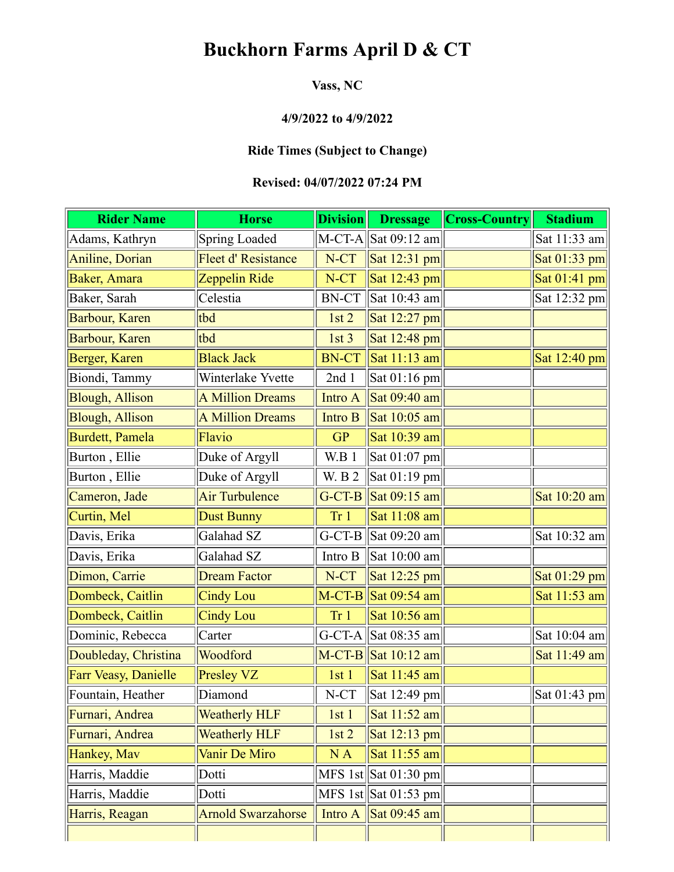# **Buckhorn Farms April D & CT**

### **Vass, NC**

# **4/9/2022 to 4/9/2022**

## **Ride Times (Subject to Change)**

#### **Revised: 04/07/2022 07:24 PM**

| <b>Rider Name</b>       | <b>Horse</b>               | $\mathbf{Division} \Vert$ | <b>Dressage</b>                               | <b>Cross-Country</b> | <b>Stadium</b> |
|-------------------------|----------------------------|---------------------------|-----------------------------------------------|----------------------|----------------|
| Adams, Kathryn          | <b>Spring Loaded</b>       | $M-CT-A$                  | Sat 09:12 am                                  |                      | Sat 11:33 am   |
| <b>Aniline</b> , Dorian | <b>Fleet d' Resistance</b> | N-CT                      | Sat $12:31$ pm                                |                      | Sat 01:33 pm   |
| Baker, Amara            | Zeppelin Ride              | N-CT                      | Sat $12:43$ pm                                |                      | Sat 01:41 pm   |
| Baker, Sarah            | Celestia                   | <b>BN-CT</b>              | Sat 10:43 am                                  |                      | Sat 12:32 pm   |
| Barbour, Karen          | tbd                        | 1st <sub>2</sub>          | Sat 12:27 pm                                  |                      |                |
| Barbour, Karen          | tbd                        | 1st <sub>3</sub>          | Sat 12:48 pm                                  |                      |                |
| Berger, Karen           | <b>Black Jack</b>          | <b>BN-CT</b>              | Sat 11:13 am                                  |                      | Sat 12:40 pm   |
| Biondi, Tammy           | Winterlake Yvette          | 2nd1                      | Sat $01:16$ pm                                |                      |                |
| <b>Blough, Allison</b>  | <b>A Million Dreams</b>    | Intro A                   | Sat 09:40 am                                  |                      |                |
| <b>Blough, Allison</b>  | <b>A Million Dreams</b>    | Intro B                   | Sat $10:05$ am                                |                      |                |
| Burdett, Pamela         | Flavio                     | <b>GP</b>                 | Sat 10:39 am                                  |                      |                |
| Burton, Ellie           | Duke of Argyll             | W.B 1                     | Sat $01:07$ pm                                |                      |                |
| Burton, Ellie           | Duke of Argyll             | <b>W.</b> B 2             | Sat $01:19$ pm                                |                      |                |
| Cameron, Jade           | <b>Air Turbulence</b>      | $G-CT-B$                  | $\left  \text{Sat } 09:15 \text{ am} \right $ |                      | Sat 10:20 am   |
| Curtin, Mel             | Dust Bunny                 | Tr <sub>1</sub>           | Sat 11:08 am                                  |                      |                |
| Davis, Erika            | Galahad SZ                 | $G-CT-B$                  | Sat 09:20 am                                  |                      | Sat 10:32 am   |
| Davis, Erika            | Galahad SZ                 | Intro B                   | Sat 10:00 am                                  |                      |                |
| Dimon, Carrie           | <b>Dream Factor</b>        | N-CT                      | Sat $12:25$ pm                                |                      | Sat 01:29 pm   |
| Dombeck, Caitlin        | <b>Cindy Lou</b>           |                           | $M-CT-B$ Sat 09:54 am                         |                      | Sat 11:53 am   |
| Dombeck, Caitlin        | <b>Cindy Lou</b>           | Tr 1                      | Sat 10:56 am                                  |                      |                |
| Dominic, Rebecca        | Carter                     | $G-CT-A$                  | Sat 08:35 am                                  |                      | Sat $10:04$ am |
| Doubleday, Christina    | Woodford                   |                           | $M-CT-B$ Sat 10:12 am                         |                      | Sat 11:49 am   |
| Farr Veasy, Danielle    | Presley VZ                 | 1st1                      | Sat 11:45 am                                  |                      |                |
| Fountain, Heather       | Diamond                    | N-CT                      | $\vert$ Sat 12:49 pm $\vert$                  |                      | Sat $01:43$ pm |
| Furnari, Andrea         | <b>Weatherly HLF</b>       | 1st1                      | Sat 11:52 am                                  |                      |                |
| Furnari, Andrea         | <b>Weatherly HLF</b>       | 1st2                      | Sat 12:13 pm                                  |                      |                |
| Hankey, Mav             | Vanir De Miro              | NA                        | Sat 11:55 am                                  |                      |                |
| Harris, Maddie          | Dotti                      |                           | MFS 1st $\vert$ Sat 01:30 pm $\vert$          |                      |                |
| Harris, Maddie          | Dotti                      |                           | MFS 1st $\vert$ Sat 01:53 pm                  |                      |                |
| Harris, Reagan          | <b>Arnold Swarzahorse</b>  | Intro A                   | Sat $09:45$ am                                |                      |                |
|                         |                            |                           |                                               |                      |                |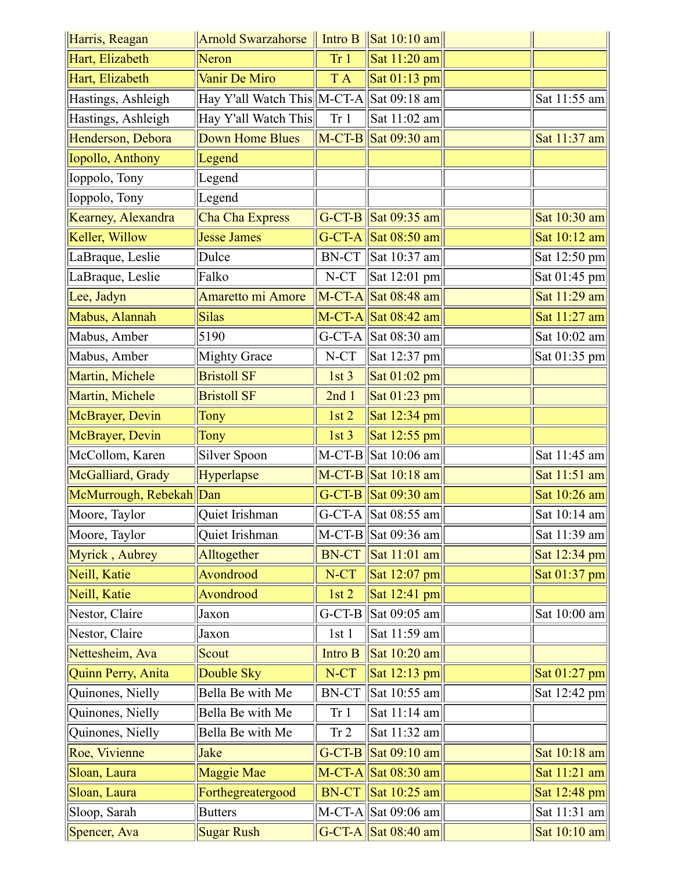| Harris, Reagan          | Arnold Swarzahorse                       |                 | $\vert$ Intro B $\vert$ Sat 10:10 am $\vert$                       |                |
|-------------------------|------------------------------------------|-----------------|--------------------------------------------------------------------|----------------|
| Hart, Elizabeth         | Neron                                    | Tr <sub>1</sub> | Sat 11:20 am                                                       |                |
| Hart, Elizabeth         | Vanir De Miro                            | T A             | Sat $01:13$ pm                                                     |                |
| Hastings, Ashleigh      | Hay Y'all Watch This M-CT-A Sat 09:18 am |                 |                                                                    | Sat 11:55 am   |
| Hastings, Ashleigh      | Hay Y'all Watch This                     | Tr <sub>1</sub> | Sat 11:02 am                                                       |                |
| Henderson, Debora       | <b>Down Home Blues</b>                   |                 | $\vert$ M-CT-B $\vert$ Sat 09:30 am                                | Sat 11:37 am   |
| Iopollo, Anthony        | Legend                                   |                 |                                                                    |                |
| Ioppolo, Tony           | Legend                                   |                 |                                                                    |                |
| Ioppolo, Tony           | Legend                                   |                 |                                                                    |                |
| Kearney, Alexandra      | Cha Cha Express                          |                 | G-CT-B $\vert$ Sat 09:35 am                                        | Sat 10:30 am   |
| Keller, Willow          | <b>Jesse James</b>                       |                 | G-CT-A Sat $08:50$ am                                              | Sat $10:12$ am |
| LaBraque, Leslie        | Dulce                                    | <b>BN-CT</b>    | Sat 10:37 am                                                       | Sat 12:50 pm   |
| LaBraque, Leslie        | Falko                                    | $N-CT$          | $\vert$ Sat 12:01 pm $\vert$                                       | Sat $01:45$ pm |
| Lee, Jadyn              | <b>Amaretto mi Amore</b>                 |                 | $\vert$ M-CT-A $\vert$ Sat 08:48 am                                | Sat 11:29 am   |
| Mabus, Alannah          | <b>Silas</b>                             |                 | $M-CT-A$ Sat 08:42 am                                              | Sat $11:27$ am |
| Mabus, Amber            | 5190                                     |                 | G-CT-A $\left \text{Sat }08:30 \text{ am}\right $                  | Sat $10:02$ am |
| Mabus, Amber            | <b>Mighty Grace</b>                      | $N-CT$          | $\vert$ Sat 12:37 pm $\vert$                                       | Sat $01:35$ pm |
| Martin, Michele         | <b>Bristoll SF</b>                       | 1st3            | Sat $01:02$ pm                                                     |                |
| Martin, Michele         | <b>Bristoll SF</b>                       | 2nd1            | Sat $01:23$ pm                                                     |                |
| McBrayer, Devin         | Tony                                     | 1st2            | Sat $12:34$ pm                                                     |                |
| McBrayer, Devin         | Tony                                     | 1st3            | Sat $12:55$ pm                                                     |                |
| McCollom, Karen         | Silver Spoon                             |                 | $M-CT-B$ Sat 10:06 am                                              | Sat 11:45 am   |
| McGalliard, Grady       | Hyperlapse                               |                 | $M-CT-B$ Sat 10:18 am                                              | Sat 11:51 am   |
| McMurrough, Rebekah Dan |                                          |                 | G-CT-B Sat $09:30$ am                                              | Sat 10:26 am   |
| Moore, Taylor           | Quiet Irishman                           |                 | G-CT-A Sat 08:55 am                                                | Sat 10:14 am   |
| Moore, Taylor           | Quiet Irishman                           |                 | $M-CT-B$ Sat 09:36 am                                              | Sat $11:39$ am |
| Myrick, Aubrey          | Alltogether                              | <b>BN-CT</b>    | Sat $11:01$ am                                                     | Sat $12:34$ pm |
| Neill, Katie            | Avondrood                                | N-CT            | Sat $12:07$ pm                                                     | Sat $01:37$ pm |
| Neill, Katie            | Avondrood                                | 1st2            | Sat $12:41$ pm                                                     |                |
| Nestor, Claire          | Jaxon                                    | $G-CT-B$        | Sat 09:05 am                                                       | Sat 10:00 am   |
| Nestor, Claire          | Jaxon                                    | 1st1            | Sat 11:59 am                                                       |                |
| Nettesheim, Ava         | Scout                                    | Intro B         | Sat 10:20 am                                                       |                |
| Quinn Perry, Anita      | Double Sky                               | $N-CT$          | Sat $12:13$ pm                                                     | Sat $01:27$ pm |
| Quinones, Nielly        | Bella Be with Me                         | <b>BN-CT</b>    | Sat 10:55 am                                                       | Sat 12:42 pm   |
| Quinones, Nielly        | Bella Be with Me                         | Tr <sub>1</sub> | Sat 11:14 am                                                       |                |
| Quinones, Nielly        | Bella Be with Me                         | Tr 2            | Sat 11:32 am                                                       |                |
| Roe, Vivienne           | Jake                                     |                 | G-CT-B $\left \text{Sat } 09:10 \text{ am}\right $                 | Sat 10:18 am   |
| Sloan, Laura            | <b>Maggie Mae</b>                        |                 | $M-CT-A$ Sat 08:30 am                                              | Sat $11:21$ am |
| Sloan, Laura            | Forthegreatergood                        |                 | $BN-CT$ Sat 10:25 am                                               | Sat 12:48 pm   |
| Sloop, Sarah            | <b>Butters</b>                           |                 | $M-CT-A$ Sat 09:06 am                                              | Sat 11:31 am   |
| Spencer, Ava            | <b>Sugar Rush</b>                        |                 | G-CT-A $\left \frac{\text{Sat }08:40 \text{ am}}{\text{C}}\right $ | Sat $10:10$ am |